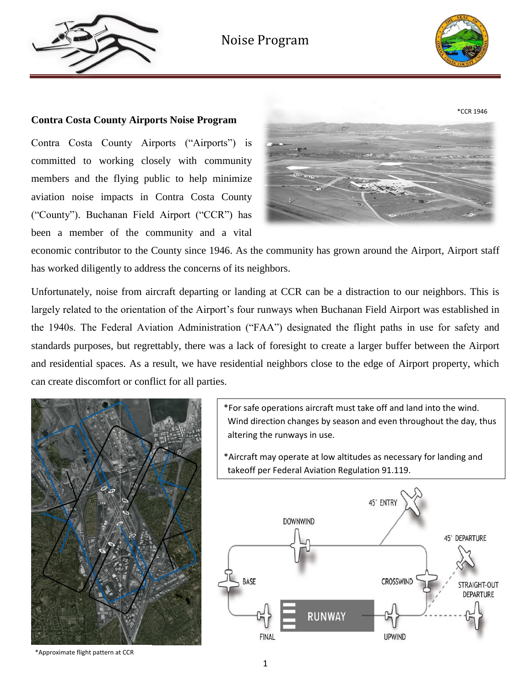



#### **Contra Costa County Airports Noise Program**

Contra Costa County Airports ("Airports") is committed to working closely with community members and the flying public to help minimize aviation noise impacts in Contra Costa County ("County"). Buchanan Field Airport ("CCR") has been a member of the community and a vital



economic contributor to the County since 1946. As the community has grown around the Airport, Airport staff has worked diligently to address the concerns of its neighbors.

Unfortunately, noise from aircraft departing or landing at CCR can be a distraction to our neighbors. This is largely related to the orientation of the Airport's four runways when Buchanan Field Airport was established in the 1940s. The Federal Aviation Administration ("FAA") designated the flight paths in use for safety and standards purposes, but regrettably, there was a lack of foresight to create a larger buffer between the Airport and residential spaces. As a result, we have residential neighbors close to the edge of Airport property, which can create discomfort or conflict for all parties.



\*For safe operations aircraft must take off and land into the wind. Wind direction changes by season and even throughout the day, thus altering the runways in use.

\*Aircraft may operate at low altitudes as necessary for landing and takeoff per Federal Aviation Regulation 91.119.



\*Approximate flight pattern at CCR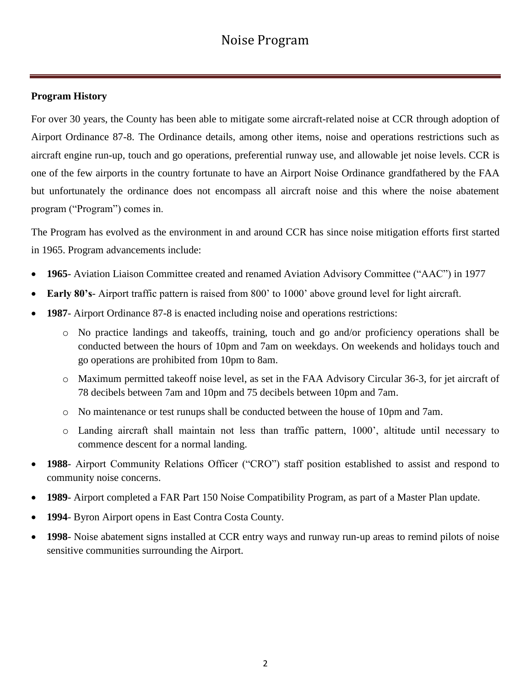### **Program History**

For over 30 years, the County has been able to mitigate some aircraft-related noise at CCR through adoption of Airport Ordinance 87-8. The Ordinance details, among other items, noise and operations restrictions such as aircraft engine run-up, touch and go operations, preferential runway use, and allowable jet noise levels. CCR is one of the few airports in the country fortunate to have an Airport Noise Ordinance grandfathered by the FAA but unfortunately the ordinance does not encompass all aircraft noise and this where the noise abatement program ("Program") comes in.

The Program has evolved as the environment in and around CCR has since noise mitigation efforts first started in 1965. Program advancements include:

- **1965** Aviation Liaison Committee created and renamed Aviation Advisory Committee ("AAC") in 1977
- **Early 80's** Airport traffic pattern is raised from 800' to 1000' above ground level for light aircraft.
- **1987** Airport Ordinance 87-8 is enacted including noise and operations restrictions:
	- o No practice landings and takeoffs, training, touch and go and/or proficiency operations shall be conducted between the hours of 10pm and 7am on weekdays. On weekends and holidays touch and go operations are prohibited from 10pm to 8am.
	- o Maximum permitted takeoff noise level, as set in the FAA Advisory Circular 36-3, for jet aircraft of 78 decibels between 7am and 10pm and 75 decibels between 10pm and 7am.
	- o No maintenance or test runups shall be conducted between the house of 10pm and 7am.
	- o Landing aircraft shall maintain not less than traffic pattern, 1000', altitude until necessary to commence descent for a normal landing.
- **1988** Airport Community Relations Officer ("CRO") staff position established to assist and respond to community noise concerns.
- **1989** Airport completed a FAR Part 150 Noise Compatibility Program, as part of a Master Plan update.
- **1994** Byron Airport opens in East Contra Costa County.
- **1998** Noise abatement signs installed at CCR entry ways and runway run-up areas to remind pilots of noise sensitive communities surrounding the Airport.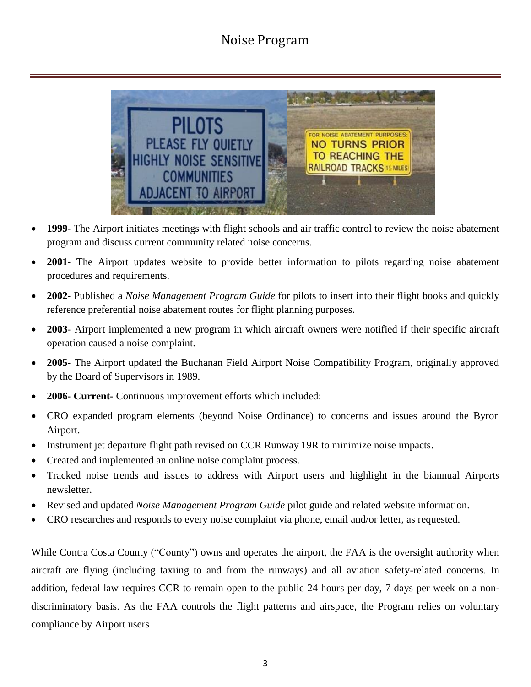

- **1999** The Airport initiates meetings with flight schools and air traffic control to review the noise abatement program and discuss current community related noise concerns.
- **2001** The Airport updates website to provide better information to pilots regarding noise abatement procedures and requirements.
- **2002** Published a *Noise Management Program Guide* for pilots to insert into their flight books and quickly reference preferential noise abatement routes for flight planning purposes.
- **2003** Airport implemented a new program in which aircraft owners were notified if their specific aircraft operation caused a noise complaint.
- **2005** The Airport updated the Buchanan Field Airport Noise Compatibility Program, originally approved by the Board of Supervisors in 1989.
- **2006- Current-** Continuous improvement efforts which included:
- CRO expanded program elements (beyond Noise Ordinance) to concerns and issues around the Byron Airport.
- Instrument jet departure flight path revised on CCR Runway 19R to minimize noise impacts.
- Created and implemented an online noise complaint process.
- Tracked noise trends and issues to address with Airport users and highlight in the biannual Airports newsletter.
- Revised and updated *Noise Management Program Guide* pilot guide and related website information.
- CRO researches and responds to every noise complaint via phone, email and/or letter, as requested.

While Contra Costa County ("County") owns and operates the airport, the FAA is the oversight authority when aircraft are flying (including taxiing to and from the runways) and all aviation safety-related concerns. In addition, federal law requires CCR to remain open to the public 24 hours per day, 7 days per week on a nondiscriminatory basis. As the FAA controls the flight patterns and airspace, the Program relies on voluntary compliance by Airport users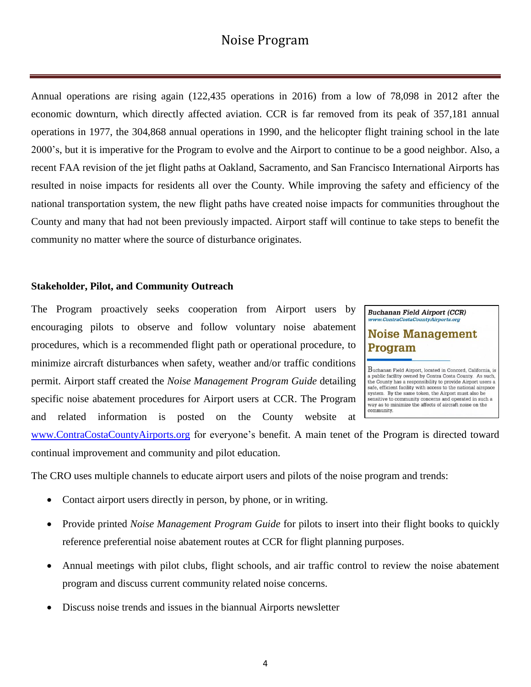Annual operations are rising again (122,435 operations in 2016) from a low of 78,098 in 2012 after the economic downturn, which directly affected aviation. CCR is far removed from its peak of 357,181 annual operations in 1977, the 304,868 annual operations in 1990, and the helicopter flight training school in the late 2000's, but it is imperative for the Program to evolve and the Airport to continue to be a good neighbor. Also, a recent FAA revision of the jet flight paths at Oakland, Sacramento, and San Francisco International Airports has resulted in noise impacts for residents all over the County. While improving the safety and efficiency of the national transportation system, the new flight paths have created noise impacts for communities throughout the County and many that had not been previously impacted. Airport staff will continue to take steps to benefit the community no matter where the source of disturbance originates.

#### **Stakeholder, Pilot, and Community Outreach**

The Program proactively seeks cooperation from Airport users by encouraging pilots to observe and follow voluntary noise abatement procedures, which is a recommended flight path or operational procedure, to minimize aircraft disturbances when safety, weather and/or traffic conditions permit. Airport staff created the *Noise Management Program Guide* detailing specific noise abatement procedures for Airport users at CCR. The Program and related information is posted on the County website at

**Buchanan Field Airport (CCR)** www.ContraCostaCountyAirports.org

### **Noise Management** Program

Buchanan Field Airport, located in Concord, California, is a public facility owned by Contra Costa County. As such, the County has a responsibility to provide Airport users a safe, efficient facility with access to the national airspace system. By the same token, the Airport must also be<br>sensitive to community concerns and operated in such a way as to minimize the affects of aircraft noise on the community.

[www.ContraCostaCountyAirports.org](http://www.contracostacountyairports.org/) for everyone's benefit. A main tenet of the Program is directed toward continual improvement and community and pilot education.

The CRO uses multiple channels to educate airport users and pilots of the noise program and trends:

- Contact airport users directly in person, by phone, or in writing.
- Provide printed *Noise Management Program Guide* for pilots to insert into their flight books to quickly reference preferential noise abatement routes at CCR for flight planning purposes.
- Annual meetings with pilot clubs, flight schools, and air traffic control to review the noise abatement program and discuss current community related noise concerns.
- Discuss noise trends and issues in the biannual Airports newsletter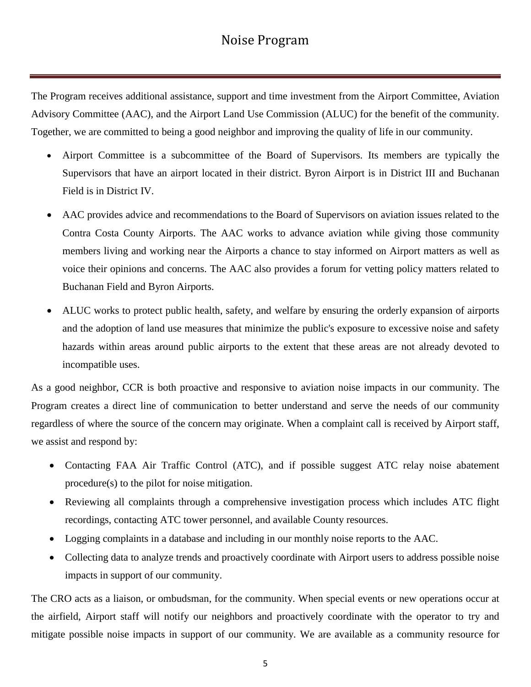The Program receives additional assistance, support and time investment from the Airport Committee, Aviation Advisory Committee (AAC), and the Airport Land Use Commission (ALUC) for the benefit of the community. Together, we are committed to being a good neighbor and improving the quality of life in our community.

- Airport Committee is a subcommittee of the Board of Supervisors. Its members are typically the Supervisors that have an airport located in their district. Byron Airport is in District III and Buchanan Field is in District IV.
- AAC provides advice and recommendations to the Board of Supervisors on aviation issues related to the Contra Costa County Airports. The AAC works to advance aviation while giving those community members living and working near the Airports a chance to stay informed on Airport matters as well as voice their opinions and concerns. The AAC also provides a forum for vetting policy matters related to Buchanan Field and Byron Airports.
- ALUC works to protect public health, safety, and welfare by ensuring the orderly expansion of airports and the adoption of land use measures that minimize the public's exposure to excessive noise and safety hazards within areas around public airports to the extent that these areas are not already devoted to incompatible uses.

As a good neighbor, CCR is both proactive and responsive to aviation noise impacts in our community. The Program creates a direct line of communication to better understand and serve the needs of our community regardless of where the source of the concern may originate. When a complaint call is received by Airport staff, we assist and respond by:

- Contacting FAA Air Traffic Control (ATC), and if possible suggest ATC relay noise abatement procedure(s) to the pilot for noise mitigation.
- Reviewing all complaints through a comprehensive investigation process which includes ATC flight recordings, contacting ATC tower personnel, and available County resources.
- Logging complaints in a database and including in our monthly noise reports to the AAC.
- Collecting data to analyze trends and proactively coordinate with Airport users to address possible noise impacts in support of our community.

The CRO acts as a liaison, or ombudsman, for the community. When special events or new operations occur at the airfield, Airport staff will notify our neighbors and proactively coordinate with the operator to try and mitigate possible noise impacts in support of our community. We are available as a community resource for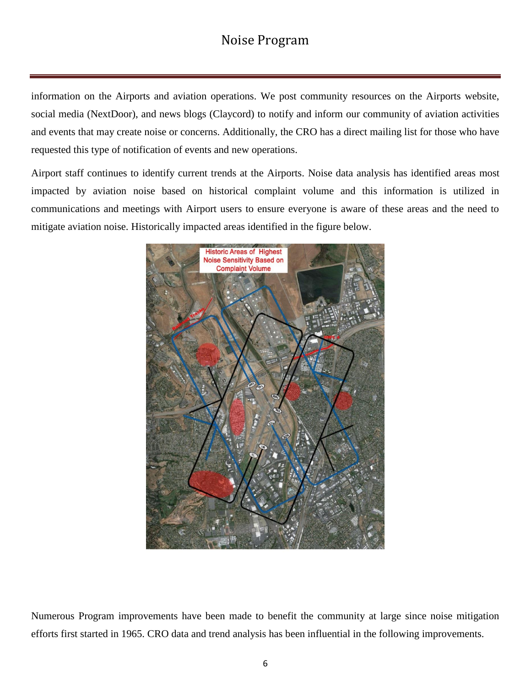information on the Airports and aviation operations. We post community resources on the Airports website, social media (NextDoor), and news blogs (Claycord) to notify and inform our community of aviation activities and events that may create noise or concerns. Additionally, the CRO has a direct mailing list for those who have requested this type of notification of events and new operations.

Airport staff continues to identify current trends at the Airports. Noise data analysis has identified areas most impacted by aviation noise based on historical complaint volume and this information is utilized in communications and meetings with Airport users to ensure everyone is aware of these areas and the need to mitigate aviation noise. Historically impacted areas identified in the figure below.



Numerous Program improvements have been made to benefit the community at large since noise mitigation efforts first started in 1965. CRO data and trend analysis has been influential in the following improvements.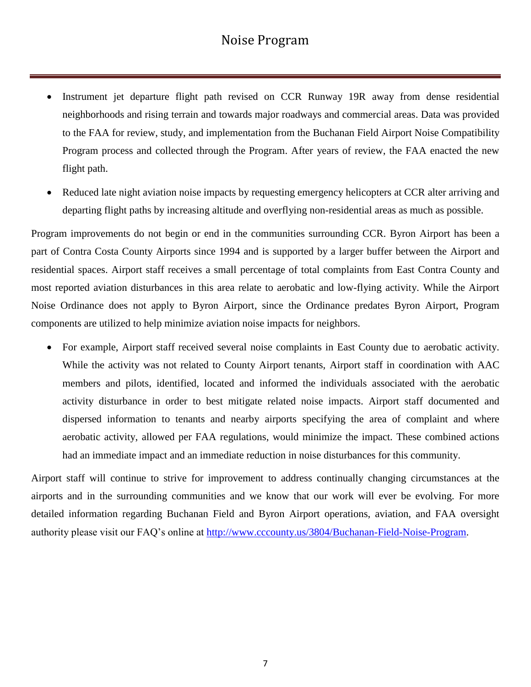- Instrument jet departure flight path revised on CCR Runway 19R away from dense residential neighborhoods and rising terrain and towards major roadways and commercial areas. Data was provided to the FAA for review, study, and implementation from the Buchanan Field Airport Noise Compatibility Program process and collected through the Program. After years of review, the FAA enacted the new flight path.
- Reduced late night aviation noise impacts by requesting emergency helicopters at CCR alter arriving and departing flight paths by increasing altitude and overflying non-residential areas as much as possible.

Program improvements do not begin or end in the communities surrounding CCR. Byron Airport has been a part of Contra Costa County Airports since 1994 and is supported by a larger buffer between the Airport and residential spaces. Airport staff receives a small percentage of total complaints from East Contra County and most reported aviation disturbances in this area relate to aerobatic and low-flying activity. While the Airport Noise Ordinance does not apply to Byron Airport, since the Ordinance predates Byron Airport, Program components are utilized to help minimize aviation noise impacts for neighbors.

 For example, Airport staff received several noise complaints in East County due to aerobatic activity. While the activity was not related to County Airport tenants, Airport staff in coordination with AAC members and pilots, identified, located and informed the individuals associated with the aerobatic activity disturbance in order to best mitigate related noise impacts. Airport staff documented and dispersed information to tenants and nearby airports specifying the area of complaint and where aerobatic activity, allowed per FAA regulations, would minimize the impact. These combined actions had an immediate impact and an immediate reduction in noise disturbances for this community.

Airport staff will continue to strive for improvement to address continually changing circumstances at the airports and in the surrounding communities and we know that our work will ever be evolving. For more detailed information regarding Buchanan Field and Byron Airport operations, aviation, and FAA oversight authority please visit our FAQ's online at [http://www.cccounty.us/3804/Buchanan-Field-Noise-Program.](http://www.cccounty.us/3804/Buchanan-Field-Noise-Program)